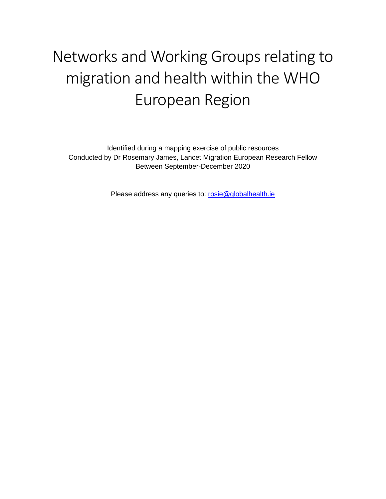## Networks and Working Groups relating to migration and health within the WHO European Region

Identified during a mapping exercise of public resources Conducted by Dr Rosemary James, Lancet Migration European Research Fellow Between September-December 2020

Please address any queries to: [rosie@globalhealth.ie](mailto:rosie@globalhealth.ie)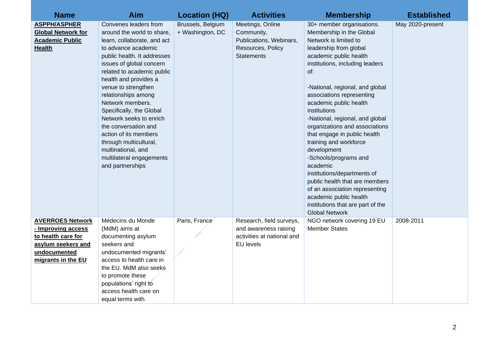| <b>Name</b>                                                                                                                     | Aim                                                                                                                                                                                                                                                                                                                                                                                                                                                                                                   | <b>Location (HQ)</b>                  | <b>Activities</b>                                                                                   | <b>Membership</b>                                                                                                                                                                                                                                                                                                                                                                                                                                                                                                                                                                                                                                                    | <b>Established</b> |
|---------------------------------------------------------------------------------------------------------------------------------|-------------------------------------------------------------------------------------------------------------------------------------------------------------------------------------------------------------------------------------------------------------------------------------------------------------------------------------------------------------------------------------------------------------------------------------------------------------------------------------------------------|---------------------------------------|-----------------------------------------------------------------------------------------------------|----------------------------------------------------------------------------------------------------------------------------------------------------------------------------------------------------------------------------------------------------------------------------------------------------------------------------------------------------------------------------------------------------------------------------------------------------------------------------------------------------------------------------------------------------------------------------------------------------------------------------------------------------------------------|--------------------|
| <b>ASPPH/ASPHER</b><br><b>Global Network for</b><br><b>Academic Public</b><br><b>Health</b>                                     | Convenes leaders from<br>around the world to share,<br>learn, collaborate, and act<br>to advance academic<br>public health. It addresses<br>issues of global concern<br>related to academic public<br>health and provides a<br>venue to strengthen<br>relationships among<br>Network members.<br>Specifically, the Global<br>Network seeks to enrich<br>the conversation and<br>action of its members<br>through multicultural,<br>multinational, and<br>multilateral engagements<br>and partnerships | Brussels, Belgium<br>+ Washington, DC | Meetings, Online<br>Community,<br>Publications, Webinars,<br>Resources, Policy<br><b>Statements</b> | 30+ member organisations.<br>Membership in the Global<br>Network is limited to<br>leadership from global<br>academic public health<br>institutions, including leaders<br>of:<br>-National, regional, and global<br>associations representing<br>academic public health<br>institutions<br>-National, regional, and global<br>organizations and associations<br>that engage in public health<br>training and workforce<br>development<br>-Schools/programs and<br>academic<br>institutions/departments of<br>public health that are members<br>of an association representing<br>academic public health<br>institutions that are part of the<br><b>Global Network</b> | May 2020-present   |
| <b>AVERROES Network</b><br>- Improving access<br>to health care for<br>asylum seekers and<br>undocumented<br>migrants in the EU | Médecins du Monde<br>(MdM) aims at<br>documenting asylum<br>seekers and<br>undocumented migrants'<br>access to health care in<br>the EU. MdM also seeks<br>to promote these<br>populations' right to<br>access health care on<br>equal terms with                                                                                                                                                                                                                                                     | Paris, France                         | Research, field surveys,<br>and awareness raising<br>activities at national and<br><b>EU</b> levels | NGO network covering 19 EU<br><b>Member States</b>                                                                                                                                                                                                                                                                                                                                                                                                                                                                                                                                                                                                                   | 2008-2011          |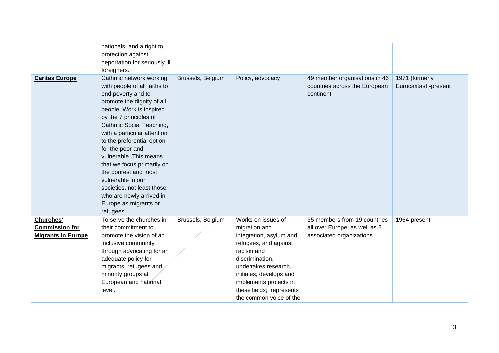|                           | nationals, and a right to     |                   |                          |                               |                       |
|---------------------------|-------------------------------|-------------------|--------------------------|-------------------------------|-----------------------|
|                           | protection against            |                   |                          |                               |                       |
|                           | deportation for seriously ill |                   |                          |                               |                       |
|                           | foreigners.                   |                   |                          |                               |                       |
| <b>Caritas Europe</b>     | Catholic network working      | Brussels, Belgium | Policy, advocacy         | 49 member organisations in 46 | 1971 (formerly        |
|                           | with people of all faiths to  |                   |                          | countries across the European | Eurocaritas) -present |
|                           | end poverty and to            |                   |                          | continent                     |                       |
|                           | promote the dignity of all    |                   |                          |                               |                       |
|                           | people. Work is inspired      |                   |                          |                               |                       |
|                           | by the 7 principles of        |                   |                          |                               |                       |
|                           | Catholic Social Teaching,     |                   |                          |                               |                       |
|                           | with a particular attention   |                   |                          |                               |                       |
|                           | to the preferential option    |                   |                          |                               |                       |
|                           | for the poor and              |                   |                          |                               |                       |
|                           | vulnerable. This means        |                   |                          |                               |                       |
|                           | that we focus primarily on    |                   |                          |                               |                       |
|                           | the poorest and most          |                   |                          |                               |                       |
|                           | vulnerable in our             |                   |                          |                               |                       |
|                           | societies, not least those    |                   |                          |                               |                       |
|                           | who are newly arrived in      |                   |                          |                               |                       |
|                           | Europe as migrants or         |                   |                          |                               |                       |
|                           | refugees.                     |                   |                          |                               |                       |
| <b>Churches'</b>          | To serve the churches in      | Brussels, Belgium | Works on issues of       | 35 members from 19 countries  | 1964-present          |
| <b>Commission for</b>     | their commitment to           |                   | migration and            | all over Europe, as well as 2 |                       |
| <b>Migrants in Europe</b> | promote the vision of an      |                   | integration, asylum and  | associated organizations      |                       |
|                           | inclusive community           |                   | refugees, and against    |                               |                       |
|                           | through advocating for an     |                   | racism and               |                               |                       |
|                           | adequate policy for           |                   | discrimination,          |                               |                       |
|                           | migrants, refugees and        |                   | undertakes research,     |                               |                       |
|                           | minority groups at            |                   | initiates, develops and  |                               |                       |
|                           | European and national         |                   | implements projects in   |                               |                       |
|                           | level.                        |                   | these fields; represents |                               |                       |
|                           |                               |                   | the common voice of the  |                               |                       |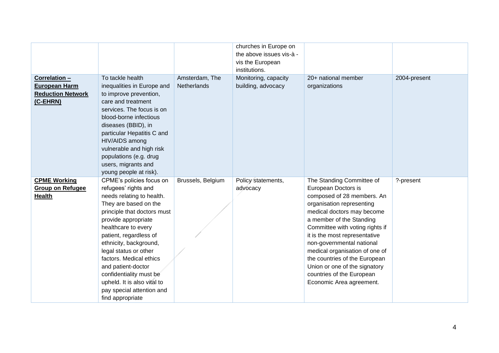|                                                                               |                                                                                                                                                                                                                                                                                                                                                                                                                              |                                      | churches in Europe on                      |                                                                                                                                                                                                                                                                                                                                                                                                                                     |              |
|-------------------------------------------------------------------------------|------------------------------------------------------------------------------------------------------------------------------------------------------------------------------------------------------------------------------------------------------------------------------------------------------------------------------------------------------------------------------------------------------------------------------|--------------------------------------|--------------------------------------------|-------------------------------------------------------------------------------------------------------------------------------------------------------------------------------------------------------------------------------------------------------------------------------------------------------------------------------------------------------------------------------------------------------------------------------------|--------------|
|                                                                               |                                                                                                                                                                                                                                                                                                                                                                                                                              |                                      | the above issues vis-à -                   |                                                                                                                                                                                                                                                                                                                                                                                                                                     |              |
|                                                                               |                                                                                                                                                                                                                                                                                                                                                                                                                              |                                      | vis the European                           |                                                                                                                                                                                                                                                                                                                                                                                                                                     |              |
|                                                                               |                                                                                                                                                                                                                                                                                                                                                                                                                              |                                      | institutions.                              |                                                                                                                                                                                                                                                                                                                                                                                                                                     |              |
| Correlation -<br><b>European Harm</b><br><b>Reduction Network</b><br>(C-EHRN) | To tackle health<br>inequalities in Europe and<br>to improve prevention,<br>care and treatment<br>services. The focus is on<br>blood-borne infectious<br>diseases (BBID), in<br>particular Hepatitis C and<br>HIV/AIDS among<br>vulnerable and high risk<br>populations (e.g. drug<br>users, migrants and<br>young people at risk).                                                                                          | Amsterdam, The<br><b>Netherlands</b> | Monitoring, capacity<br>building, advocacy | 20+ national member<br>organizations                                                                                                                                                                                                                                                                                                                                                                                                | 2004-present |
| <b>CPME Working</b><br><b>Group on Refugee</b><br><b>Health</b>               | CPME's policies focus on<br>refugees' rights and<br>needs relating to health.<br>They are based on the<br>principle that doctors must<br>provide appropriate<br>healthcare to every<br>patient, regardless of<br>ethnicity, background,<br>legal status or other<br>factors. Medical ethics<br>and patient-doctor<br>confidentiality must be<br>upheld. It is also vital to<br>pay special attention and<br>find appropriate | Brussels, Belgium                    | Policy statements,<br>advocacy             | The Standing Committee of<br>European Doctors is<br>composed of 28 members. An<br>organisation representing<br>medical doctors may become<br>a member of the Standing<br>Committee with voting rights if<br>it is the most representative<br>non-governmental national<br>medical organisation of one of<br>the countries of the European<br>Union or one of the signatory<br>countries of the European<br>Economic Area agreement. | ?-present    |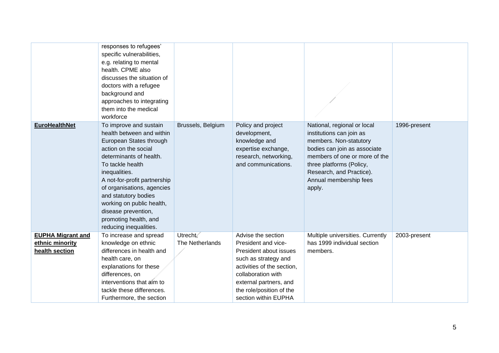|                                                               | responses to refugees'<br>specific vulnerabilities,<br>e.g. relating to mental<br>health. CPME also<br>discusses the situation of<br>doctors with a refugee<br>background and<br>approaches to integrating<br>them into the medical<br>workforce                                                                                                                    |                             |                                                                                                                                                                                                                               |                                                                                                                                                                                                                                                |              |
|---------------------------------------------------------------|---------------------------------------------------------------------------------------------------------------------------------------------------------------------------------------------------------------------------------------------------------------------------------------------------------------------------------------------------------------------|-----------------------------|-------------------------------------------------------------------------------------------------------------------------------------------------------------------------------------------------------------------------------|------------------------------------------------------------------------------------------------------------------------------------------------------------------------------------------------------------------------------------------------|--------------|
| <b>EuroHealthNet</b>                                          | To improve and sustain<br>health between and within<br>European States through<br>action on the social<br>determinants of health.<br>To tackle health<br>inequalities.<br>A not-for-profit partnership<br>of organisations, agencies<br>and statutory bodies<br>working on public health,<br>disease prevention,<br>promoting health, and<br>reducing inequalities. | Brussels, Belgium           | Policy and project<br>development,<br>knowledge and<br>expertise exchange,<br>research, networking,<br>and communications.                                                                                                    | National, regional or local<br>institutions can join as<br>members. Non-statutory<br>bodies can join as associate<br>members of one or more of the<br>three platforms (Policy,<br>Research, and Practice).<br>Annual membership fees<br>apply. | 1996-present |
| <b>EUPHA Migrant and</b><br>ethnic minority<br>health section | To increase and spread<br>knowledge on ethnic<br>differences in health and<br>health care, on<br>explanations for these<br>differences, on<br>interventions that aim to<br>tackle these differences.<br>Furthermore, the section                                                                                                                                    | Utrecht,<br>The Netherlands | Advise the section<br>President and vice-<br>President about issues<br>such as strategy and<br>activities of the section,<br>collaboration with<br>external partners, and<br>the role/position of the<br>section within EUPHA | Multiple universities. Currently<br>has 1999 individual section<br>members.                                                                                                                                                                    | 2003-present |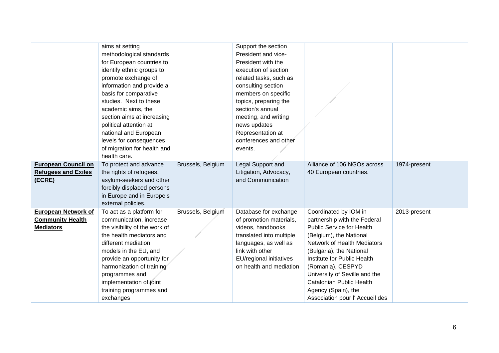|                                                       | aims at setting<br>methodological standards<br>for European countries to<br>identify ethnic groups to<br>promote exchange of<br>information and provide a<br>basis for comparative<br>studies. Next to these<br>academic aims, the<br>section aims at increasing<br>political attention at<br>national and European<br>levels for consequences<br>of migration for health and<br>health care. |                   | Support the section<br>President and vice-<br>President with the<br>execution of section<br>related tasks, such as<br>consulting section<br>members on specific<br>topics, preparing the<br>section's annual<br>meeting, and writing<br>news updates<br>Representation at<br>conferences and other<br>events. |                                                       |              |
|-------------------------------------------------------|-----------------------------------------------------------------------------------------------------------------------------------------------------------------------------------------------------------------------------------------------------------------------------------------------------------------------------------------------------------------------------------------------|-------------------|---------------------------------------------------------------------------------------------------------------------------------------------------------------------------------------------------------------------------------------------------------------------------------------------------------------|-------------------------------------------------------|--------------|
| <b>European Council on</b>                            | To protect and advance                                                                                                                                                                                                                                                                                                                                                                        | Brussels, Belgium | Legal Support and                                                                                                                                                                                                                                                                                             | Alliance of 106 NGOs across                           | 1974-present |
| <b>Refugees and Exiles</b>                            | the rights of refugees,                                                                                                                                                                                                                                                                                                                                                                       |                   | Litigation, Advocacy,                                                                                                                                                                                                                                                                                         | 40 European countries.                                |              |
| (ECRE)                                                | asylum-seekers and other                                                                                                                                                                                                                                                                                                                                                                      |                   | and Communication                                                                                                                                                                                                                                                                                             |                                                       |              |
|                                                       | forcibly displaced persons                                                                                                                                                                                                                                                                                                                                                                    |                   |                                                                                                                                                                                                                                                                                                               |                                                       |              |
|                                                       | in Europe and in Europe's                                                                                                                                                                                                                                                                                                                                                                     |                   |                                                                                                                                                                                                                                                                                                               |                                                       |              |
|                                                       | external policies.                                                                                                                                                                                                                                                                                                                                                                            |                   |                                                                                                                                                                                                                                                                                                               |                                                       |              |
| <b>European Network of</b><br><b>Community Health</b> | To act as a platform for<br>communication, increase                                                                                                                                                                                                                                                                                                                                           | Brussels, Belgium | Database for exchange<br>of promotion materials,                                                                                                                                                                                                                                                              | Coordinated by IOM in<br>partnership with the Federal | 2013-present |
| <b>Mediators</b>                                      | the visibility of the work of                                                                                                                                                                                                                                                                                                                                                                 |                   | videos, handbooks                                                                                                                                                                                                                                                                                             | <b>Public Service for Health</b>                      |              |
|                                                       | the health mediators and                                                                                                                                                                                                                                                                                                                                                                      |                   | translated into multiple                                                                                                                                                                                                                                                                                      | (Belgium), the National                               |              |
|                                                       | different mediation                                                                                                                                                                                                                                                                                                                                                                           |                   | languages, as well as                                                                                                                                                                                                                                                                                         | Network of Health Mediators                           |              |
|                                                       | models in the EU, and                                                                                                                                                                                                                                                                                                                                                                         |                   | link with other                                                                                                                                                                                                                                                                                               | (Bulgaria), the National                              |              |
|                                                       | provide an opportunity for                                                                                                                                                                                                                                                                                                                                                                    |                   | EU/regional initiatives                                                                                                                                                                                                                                                                                       | Institute for Public Health                           |              |
|                                                       | harmonization of training                                                                                                                                                                                                                                                                                                                                                                     |                   | on health and mediation                                                                                                                                                                                                                                                                                       | (Romania), CESPYD                                     |              |
|                                                       | programmes and                                                                                                                                                                                                                                                                                                                                                                                |                   |                                                                                                                                                                                                                                                                                                               | University of Seville and the                         |              |
|                                                       | implementation of joint                                                                                                                                                                                                                                                                                                                                                                       |                   |                                                                                                                                                                                                                                                                                                               | Catalonian Public Health                              |              |
|                                                       | training programmes and                                                                                                                                                                                                                                                                                                                                                                       |                   |                                                                                                                                                                                                                                                                                                               | Agency (Spain), the                                   |              |
|                                                       | exchanges                                                                                                                                                                                                                                                                                                                                                                                     |                   |                                                                                                                                                                                                                                                                                                               | Association pour l' Accueil des                       |              |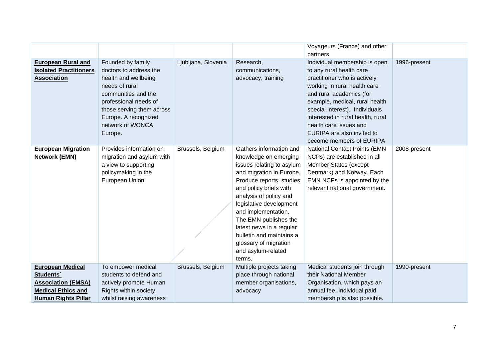|                                                                                                                                          |                                                                                                                                                                                                                           |                     |                                                                                                                                                                                                                                                                                                                                                                                       | Voyageurs (France) and other<br>partners                                                                                                                                                                                                                                                                                                           |              |
|------------------------------------------------------------------------------------------------------------------------------------------|---------------------------------------------------------------------------------------------------------------------------------------------------------------------------------------------------------------------------|---------------------|---------------------------------------------------------------------------------------------------------------------------------------------------------------------------------------------------------------------------------------------------------------------------------------------------------------------------------------------------------------------------------------|----------------------------------------------------------------------------------------------------------------------------------------------------------------------------------------------------------------------------------------------------------------------------------------------------------------------------------------------------|--------------|
| <b>European Rural and</b><br><b>Isolated Practitioners</b><br><b>Association</b>                                                         | Founded by family<br>doctors to address the<br>health and wellbeing<br>needs of rural<br>communities and the<br>professional needs of<br>those serving them across<br>Europe. A recognized<br>network of WONCA<br>Europe. | Ljubljana, Slovenia | Research,<br>communications,<br>advocacy, training                                                                                                                                                                                                                                                                                                                                    | Individual membership is open<br>to any rural health care<br>practitioner who is actively<br>working in rural health care<br>and rural academics (for<br>example, medical, rural health<br>special interest). Individuals<br>interested in rural health, rural<br>health care issues and<br>EURIPA are also invited to<br>become members of EURIPA | 1996-present |
| <b>European Migration</b><br><b>Network (EMN)</b>                                                                                        | Provides information on<br>migration and asylum with<br>a view to supporting<br>policymaking in the<br>European Union                                                                                                     | Brussels, Belgium   | Gathers information and<br>knowledge on emerging<br>issues relating to asylum<br>and migration in Europe.<br>Produce reports, studies<br>and policy briefs with<br>analysis of policy and<br>legislative development<br>and implementation.<br>The EMN publishes the<br>latest news in a regular<br>bulletin and maintains a<br>glossary of migration<br>and asylum-related<br>terms. | National Contact Points (EMN<br>NCPs) are established in all<br>Member States (except<br>Denmark) and Norway. Each<br>EMN NCPs is appointed by the<br>relevant national government.                                                                                                                                                                | 2008-present |
| <b>European Medical</b><br>Students <sup>®</sup><br><b>Association (EMSA)</b><br><b>Medical Ethics and</b><br><b>Human Rights Pillar</b> | To empower medical<br>students to defend and<br>actively promote Human<br>Rights within society,<br>whilst raising awareness                                                                                              | Brussels, Belgium   | Multiple projects taking<br>place through national<br>member organisations,<br>advocacy                                                                                                                                                                                                                                                                                               | Medical students join through<br>their National Member<br>Organisation, which pays an<br>annual fee. Individual paid<br>membership is also possible.                                                                                                                                                                                               | 1990-present |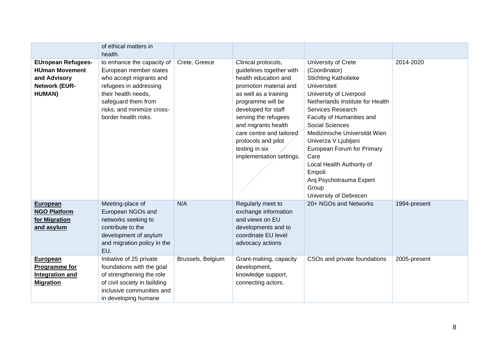|                                                                                                              | of ethical matters in                                                                                                                                                                                                    |                   |                                                                                                                                                                                                                                                                                                                        |                                                                                                                                                                                                                                                                                                                                                                                                   |              |
|--------------------------------------------------------------------------------------------------------------|--------------------------------------------------------------------------------------------------------------------------------------------------------------------------------------------------------------------------|-------------------|------------------------------------------------------------------------------------------------------------------------------------------------------------------------------------------------------------------------------------------------------------------------------------------------------------------------|---------------------------------------------------------------------------------------------------------------------------------------------------------------------------------------------------------------------------------------------------------------------------------------------------------------------------------------------------------------------------------------------------|--------------|
| <b>EUropean Refugees-</b><br><b>HUman Movement</b><br>and Advisory<br><b>Network (EUR-</b><br><b>HUMAN</b> ) | health.<br>to enhance the capacity of<br>European member states<br>who accept migrants and<br>refugees in addressing<br>their health needs,<br>safeguard them from<br>risks, and minimize cross-<br>border health risks. | Crete, Greece     | Clinical protocols,<br>guidelines together with<br>health education and<br>promotion material and<br>as well as a training<br>programme will be<br>developed for staff<br>serving the refugees<br>and migrants health<br>care centre and tailored<br>protocols and pilot<br>testing in six<br>implementation settings. | University of Crete<br>(Coordinator)<br><b>Stichting Katholieke</b><br>Universiteit<br>University of Liverpool<br>Netherlands Institute for Health<br>Services Research<br>Faculty of Humanities and<br>Social Sciences<br>Medizinische Universität Wien<br>Univerza V Ljubljani<br>European Forum for Primary<br>Care<br>Local Health Authority of<br>Empoli<br>Arq Psychotrauma Expert<br>Group | 2014-2020    |
| <b>European</b><br><b>NGO Platform</b><br>for Migration<br>and asylum                                        | Meeting-place of<br>European NGOs and<br>networks seeking to<br>contribute to the<br>development of asylum<br>and migration policy in the<br>EU.                                                                         | N/A               | Regularly meet to<br>exchange information<br>and views on EU<br>developments and to<br>coordinate EU level<br>advocacy actions                                                                                                                                                                                         | University of Debrecen<br>20+ NGOs and Networks                                                                                                                                                                                                                                                                                                                                                   | 1994-present |
| <b>European</b><br>Programme for<br><b>Integration and</b><br><b>Migration</b>                               | Initiative of 25 private<br>foundations with the goal<br>of strengthening the role<br>of civil society in building<br>inclusive communities and<br>in developing humane                                                  | Brussels, Belgium | Grant-making, capacity<br>development,<br>knowledge support,<br>connecting actors.                                                                                                                                                                                                                                     | CSOs and private foundations                                                                                                                                                                                                                                                                                                                                                                      | 2005-present |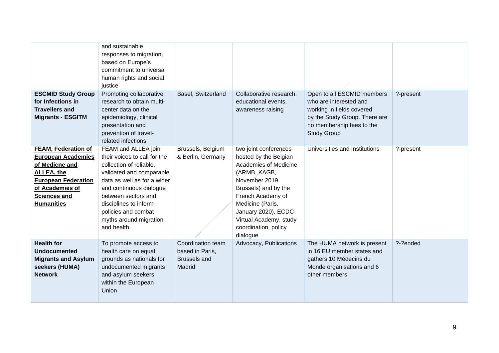| <b>ESCMID Study Group</b><br>for Infections in<br><b>Travellers and</b><br><b>Migrants - ESGITM</b>                                                                                         | and sustainable<br>responses to migration,<br>based on Europe's<br>commitment to universal<br>human rights and social<br>justice<br>Promoting collaborative<br>research to obtain multi-<br>center data on the<br>epidemiology, clinical<br>presentation and<br>prevention of travel-                      | Basel, Switzerland                                                    | Collaborative research,<br>educational events,<br>awareness raising                                                                                                                                                                                             | Open to all ESCMID members<br>who are interested and<br>working in fields covered<br>by the Study Group. There are<br>no membership fees to the<br><b>Study Group</b> | ?-present |
|---------------------------------------------------------------------------------------------------------------------------------------------------------------------------------------------|------------------------------------------------------------------------------------------------------------------------------------------------------------------------------------------------------------------------------------------------------------------------------------------------------------|-----------------------------------------------------------------------|-----------------------------------------------------------------------------------------------------------------------------------------------------------------------------------------------------------------------------------------------------------------|-----------------------------------------------------------------------------------------------------------------------------------------------------------------------|-----------|
| <b>FEAM, Federation of</b><br><b>European Academies</b><br>of Medicne and<br><b>ALLEA, the</b><br><b>European Federation</b><br>of Academies of<br><b>Sciences and</b><br><b>Humanities</b> | related infections<br>FEAM and ALLEA join<br>their voices to call for the<br>collection of reliable,<br>validated and comparable<br>data as well as for a wider<br>and continuous dialogue<br>between sectors and<br>disciplines to inform<br>policies and combat<br>myths around migration<br>and health. | Brussels, Belgium<br>& Berlin, Germany                                | two joint conferences<br>hosted by the Belgian<br>Academies of Medicine<br>(ARMB, KAGB,<br>November 2019,<br>Brussels) and by the<br>French Academy of<br>Medicine (Paris,<br>January 2020), ECDC<br>Virtual Academy, study<br>coordination, policy<br>dialogue | Universities and Institutions                                                                                                                                         | ?-present |
| <b>Health for</b><br><b>Undocumented</b><br><b>Migrants and Asylum</b><br>seekers (HUMA)<br><b>Network</b>                                                                                  | To promote access to<br>health care on equal<br>grounds as nationals for<br>undocumented migrants<br>and asylum seekers<br>within the European<br>Union                                                                                                                                                    | Coordination team<br>based in Paris,<br><b>Brussels and</b><br>Madrid | Advocacy, Publications                                                                                                                                                                                                                                          | The HUMA network is present<br>in 16 EU member states and<br>gathers 10 Médecins du<br>Monde organisations and 6<br>other members                                     | ?-?ended  |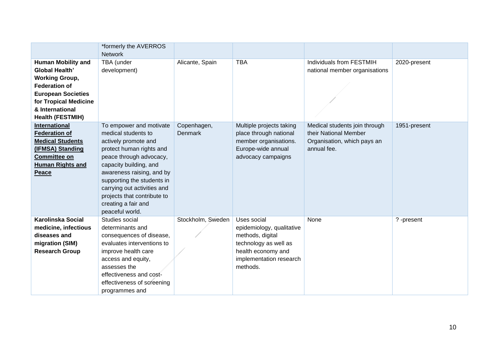|                           | *formerly the AVERROS       |                   |                           |                               |              |
|---------------------------|-----------------------------|-------------------|---------------------------|-------------------------------|--------------|
|                           | <b>Network</b>              |                   |                           |                               |              |
| <b>Human Mobility and</b> | TBA (under                  | Alicante, Spain   | <b>TBA</b>                | Individuals from FESTMIH      | 2020-present |
| <b>Global Health'</b>     | development)                |                   |                           | national member organisations |              |
| <b>Working Group,</b>     |                             |                   |                           |                               |              |
| <b>Federation of</b>      |                             |                   |                           |                               |              |
| <b>European Societies</b> |                             |                   |                           |                               |              |
| for Tropical Medicine     |                             |                   |                           |                               |              |
| & International           |                             |                   |                           |                               |              |
| <b>Health (FESTMIH)</b>   |                             |                   |                           |                               |              |
| <b>International</b>      | To empower and motivate     | Copenhagen,       | Multiple projects taking  | Medical students join through | 1951-present |
| <b>Federation of</b>      | medical students to         | Denmark           | place through national    | their National Member         |              |
| <b>Medical Students</b>   | actively promote and        |                   | member organisations.     | Organisation, which pays an   |              |
| (IFMSA) Standing          | protect human rights and    |                   | Europe-wide annual        | annual fee.                   |              |
| <b>Committee on</b>       | peace through advocacy,     |                   | advocacy campaigns        |                               |              |
| <b>Human Rights and</b>   | capacity building, and      |                   |                           |                               |              |
| Peace                     | awareness raising, and by   |                   |                           |                               |              |
|                           | supporting the students in  |                   |                           |                               |              |
|                           | carrying out activities and |                   |                           |                               |              |
|                           | projects that contribute to |                   |                           |                               |              |
|                           | creating a fair and         |                   |                           |                               |              |
|                           | peaceful world.             |                   |                           |                               |              |
| <b>Karolinska Social</b>  | Studies social              | Stockholm, Sweden | Uses social               | None                          | ?-present    |
| medicine, infectious      | determinants and            |                   | epidemiology, qualitative |                               |              |
| diseases and              | consequences of disease,    |                   | methods, digital          |                               |              |
| migration (SIM)           | evaluates interventions to  |                   | technology as well as     |                               |              |
| <b>Research Group</b>     | improve health care         |                   | health economy and        |                               |              |
|                           | access and equity,          |                   | implementation research   |                               |              |
|                           | assesses the                |                   | methods.                  |                               |              |
|                           | effectiveness and cost-     |                   |                           |                               |              |
|                           | effectiveness of screening  |                   |                           |                               |              |
|                           | programmes and              |                   |                           |                               |              |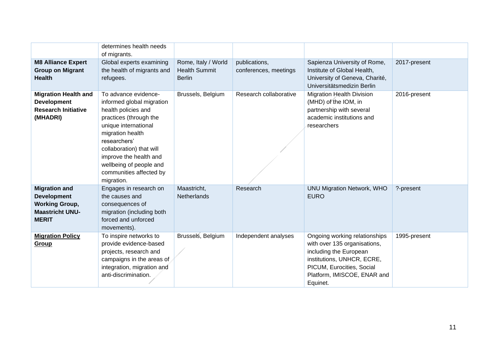|                                                                                                               | determines health needs<br>of migrants.                                                                                                                                                                                                                                                  |                                                              |                                        |                                                                                                                                                                                               |              |
|---------------------------------------------------------------------------------------------------------------|------------------------------------------------------------------------------------------------------------------------------------------------------------------------------------------------------------------------------------------------------------------------------------------|--------------------------------------------------------------|----------------------------------------|-----------------------------------------------------------------------------------------------------------------------------------------------------------------------------------------------|--------------|
| <b>M8 Alliance Expert</b><br><b>Group on Migrant</b><br><b>Health</b>                                         | Global experts examining<br>the health of migrants and<br>refugees.                                                                                                                                                                                                                      | Rome, Italy / World<br><b>Health Summit</b><br><b>Berlin</b> | publications,<br>conferences, meetings | Sapienza University of Rome,<br>Institute of Global Health,<br>University of Geneva, Charité,<br>Universitätsmedizin Berlin                                                                   | 2017-present |
| <b>Migration Health and</b><br><b>Development</b><br><b>Research Initiative</b><br>(MHADRI)                   | To advance evidence-<br>informed global migration<br>health policies and<br>practices (through the<br>unique international<br>migration health<br>researchers'<br>collaboration) that will<br>improve the health and<br>wellbeing of people and<br>communities affected by<br>migration. | Brussels, Belgium                                            | Research collaborative                 | <b>Migration Health Division</b><br>(MHD) of the IOM, in<br>partnership with several<br>academic institutions and<br>researchers                                                              | 2016-present |
| <b>Migration and</b><br><b>Development</b><br><b>Working Group,</b><br><b>Maastricht UNU-</b><br><b>MERIT</b> | Engages in research on<br>the causes and<br>consequences of<br>migration (including both<br>forced and unforced<br>movements).                                                                                                                                                           | Maastricht,<br><b>Netherlands</b>                            | Research                               | <b>UNU Migration Network, WHO</b><br><b>EURO</b>                                                                                                                                              | ?-present    |
| <b>Migration Policy</b><br>Group                                                                              | To inspire networks to<br>provide evidence-based<br>projects, research and<br>campaigns in the areas of<br>integration, migration and<br>anti-discrimination.                                                                                                                            | Brussels, Belgium                                            | Independent analyses                   | Ongoing working relationships<br>with over 135 organisations,<br>including the European<br>institutions, UNHCR, ECRE,<br>PICUM, Eurocities, Social<br>Platform, IMISCOE, ENAR and<br>Equinet. | 1995-present |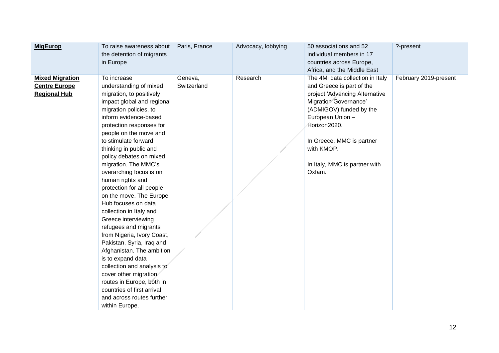| <b>MigEurop</b>                                                       | To raise awareness about<br>the detention of migrants<br>in Europe                                                                                                                                                                                                                                                                                                                                                                                                                                                                                                                                                                                                                                                                                                                                   | Paris, France          | Advocacy, lobbying | 50 associations and 52<br>individual members in 17<br>countries across Europe,<br>Africa, and the Middle East                                                                                                                                                                        | ?-present             |
|-----------------------------------------------------------------------|------------------------------------------------------------------------------------------------------------------------------------------------------------------------------------------------------------------------------------------------------------------------------------------------------------------------------------------------------------------------------------------------------------------------------------------------------------------------------------------------------------------------------------------------------------------------------------------------------------------------------------------------------------------------------------------------------------------------------------------------------------------------------------------------------|------------------------|--------------------|--------------------------------------------------------------------------------------------------------------------------------------------------------------------------------------------------------------------------------------------------------------------------------------|-----------------------|
| <b>Mixed Migration</b><br><b>Centre Europe</b><br><b>Regional Hub</b> | To increase<br>understanding of mixed<br>migration, to positively<br>impact global and regional<br>migration policies, to<br>inform evidence-based<br>protection responses for<br>people on the move and<br>to stimulate forward<br>thinking in public and<br>policy debates on mixed<br>migration. The MMC's<br>overarching focus is on<br>human rights and<br>protection for all people<br>on the move. The Europe<br>Hub focuses on data<br>collection in Italy and<br>Greece interviewing<br>refugees and migrants<br>from Nigeria, Ivory Coast,<br>Pakistan, Syria, Iraq and<br>Afghanistan. The ambition<br>is to expand data<br>collection and analysis to<br>cover other migration<br>routes in Europe, both in<br>countries of first arrival<br>and across routes further<br>within Europe. | Geneva,<br>Switzerland | Research           | The 4Mi data collection in Italy<br>and Greece is part of the<br>project 'Advancing Alternative<br><b>Migration Governance'</b><br>(ADMIGOV) funded by the<br>European Union -<br>Horizon2020.<br>In Greece, MMC is partner<br>with KMOP.<br>In Italy, MMC is partner with<br>Oxfam. | February 2019-present |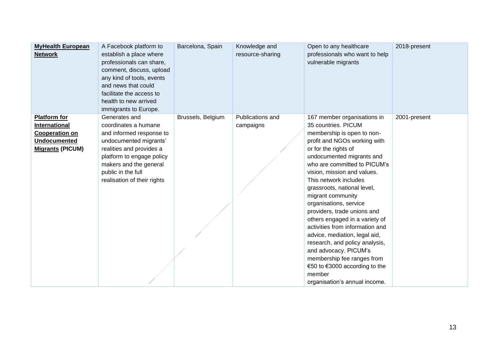| <b>MyHealth European</b><br><b>Network</b>                                                                      | A Facebook platform to<br>establish a place where<br>professionals can share,<br>comment, discuss, upload<br>any kind of tools, events<br>and news that could<br>facilitate the access to<br>health to new arrived<br>immigrants to Europe. | Barcelona, Spain  | Knowledge and<br>resource-sharing | Open to any healthcare<br>professionals who want to help<br>vulnerable migrants                                                                                                                                                                                                                                                                                                                                                                                                                                                                                                                                                                       | 2018-present |
|-----------------------------------------------------------------------------------------------------------------|---------------------------------------------------------------------------------------------------------------------------------------------------------------------------------------------------------------------------------------------|-------------------|-----------------------------------|-------------------------------------------------------------------------------------------------------------------------------------------------------------------------------------------------------------------------------------------------------------------------------------------------------------------------------------------------------------------------------------------------------------------------------------------------------------------------------------------------------------------------------------------------------------------------------------------------------------------------------------------------------|--------------|
| <b>Platform for</b><br>International<br><b>Cooperation on</b><br><b>Undocumented</b><br><b>Migrants (PICUM)</b> | Generates and<br>coordinates a humane<br>and informed response to<br>undocumented migrants'<br>realities and provides a<br>platform to engage policy<br>makers and the general<br>public in the full<br>realisation of their rights         | Brussels, Belgium | Publications and<br>campaigns     | 167 member organisations in<br>35 countries. PICUM<br>membership is open to non-<br>profit and NGOs working with<br>or for the rights of<br>undocumented migrants and<br>who are committed to PICUM's<br>vision, mission and values.<br>This network includes<br>grassroots, national level,<br>migrant community<br>organisations, service<br>providers, trade unions and<br>others engaged in a variety of<br>activities from information and<br>advice, mediation, legal aid,<br>research, and policy analysis,<br>and advocacy. PICUM's<br>membership fee ranges from<br>€50 to €3000 according to the<br>member<br>organisation's annual income. | 2001-present |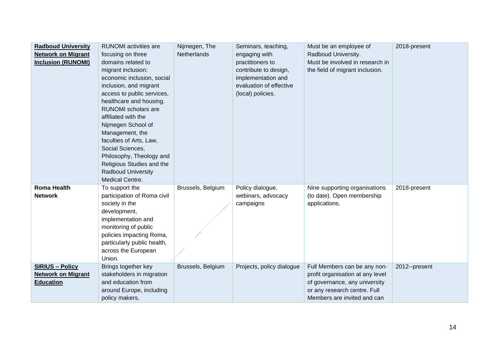| <b>Radboud University</b><br><b>Network on Migrant</b><br><b>Inclusion (RUNOMI)</b> | <b>RUNOMI</b> activities are<br>focusing on three<br>domains related to<br>migrant inclusion:<br>economic inclusion, social<br>inclusion, and migrant<br>access to public services,<br>healthcare and housing.<br><b>RUNOMI</b> scholars are<br>affiliated with the<br>Nijmegen School of<br>Management, the<br>faculties of Arts, Law,<br>Social Sciences,<br>Philosophy, Theology and<br>Religious Studies and the<br><b>Radboud University</b><br>Medical Centre. | Nijmegen, The<br>Netherlands | Seminars, teaching,<br>engaging with<br>practitioners to<br>contribute to design,<br>implementation and<br>evaluation of effective<br>(local) policies. | Must be an employee of<br>Radboud University.<br>Must be involved in research in<br>the field of migrant inclusion.                                              | 2018-present  |
|-------------------------------------------------------------------------------------|----------------------------------------------------------------------------------------------------------------------------------------------------------------------------------------------------------------------------------------------------------------------------------------------------------------------------------------------------------------------------------------------------------------------------------------------------------------------|------------------------------|---------------------------------------------------------------------------------------------------------------------------------------------------------|------------------------------------------------------------------------------------------------------------------------------------------------------------------|---------------|
| <b>Roma Health</b><br><b>Network</b>                                                | To support the<br>participation of Roma civil<br>society in the<br>development,<br>implementation and<br>monitoring of public<br>policies impacting Roma,<br>particularly public health,<br>across the European<br>Union.                                                                                                                                                                                                                                            | Brussels, Belgium            | Policy dialogue,<br>webinars, advocacy<br>campaigns                                                                                                     | Nine supporting organisations<br>(to date). Open membership<br>applications.                                                                                     | 2018-present  |
| <b>SIRIUS - Policy</b><br><b>Network on Migrant</b><br><b>Education</b>             | Brings together key<br>stakeholders in migration<br>and education from<br>around Europe, including<br>policy makers,                                                                                                                                                                                                                                                                                                                                                 | Brussels, Belgium            | Projects, policy dialogue                                                                                                                               | Full Members can be any non-<br>profit organisation at any level<br>of governance, any university<br>or any research centre. Full<br>Members are invited and can | 2012--present |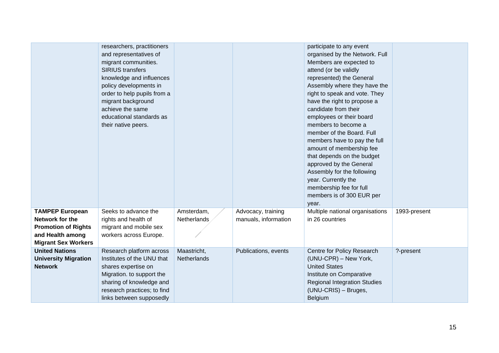|                                                                                                                           | researchers, practitioners<br>and representatives of<br>migrant communities.<br><b>SIRIUS</b> transfers<br>knowledge and influences<br>policy developments in<br>order to help pupils from a<br>migrant background<br>achieve the same<br>educational standards as<br>their native peers. |                            |                                            | participate to any event<br>organised by the Network. Full<br>Members are expected to<br>attend (or be validly<br>represented) the General<br>Assembly where they have the<br>right to speak and vote. They<br>have the right to propose a<br>candidate from their<br>employees or their board<br>members to become a<br>member of the Board. Full<br>members have to pay the full<br>amount of membership fee<br>that depends on the budget<br>approved by the General<br>Assembly for the following<br>year. Currently the<br>membership fee for full<br>members is of 300 EUR per<br>year. |              |
|---------------------------------------------------------------------------------------------------------------------------|-------------------------------------------------------------------------------------------------------------------------------------------------------------------------------------------------------------------------------------------------------------------------------------------|----------------------------|--------------------------------------------|-----------------------------------------------------------------------------------------------------------------------------------------------------------------------------------------------------------------------------------------------------------------------------------------------------------------------------------------------------------------------------------------------------------------------------------------------------------------------------------------------------------------------------------------------------------------------------------------------|--------------|
| <b>TAMPEP European</b><br>Network for the<br><b>Promotion of Rights</b><br>and Health among<br><b>Migrant Sex Workers</b> | Seeks to advance the<br>rights and health of<br>migrant and mobile sex<br>workers across Europe.                                                                                                                                                                                          | Amsterdam,<br>Netherlands  | Advocacy, training<br>manuals, information | Multiple national organisations<br>in 26 countries                                                                                                                                                                                                                                                                                                                                                                                                                                                                                                                                            | 1993-present |
| <b>United Nations</b><br><b>University Migration</b><br><b>Network</b>                                                    | Research platform across<br>Institutes of the UNU that<br>shares expertise on<br>Migration. to support the<br>sharing of knowledge and<br>research practices; to find<br>links between supposedly                                                                                         | Maastricht,<br>Netherlands | Publications, events                       | Centre for Policy Research<br>(UNU-CPR) – New York,<br><b>United States</b><br>Institute on Comparative<br><b>Regional Integration Studies</b><br>(UNU-CRIS) - Bruges,<br>Belgium                                                                                                                                                                                                                                                                                                                                                                                                             | ?-present    |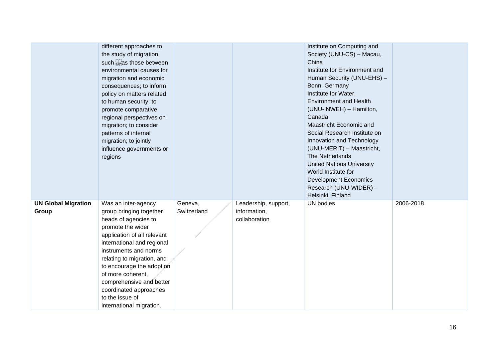|                                     | different approaches to<br>the study of migration,<br>such strias those between<br>environmental causes for<br>migration and economic<br>consequences; to inform<br>policy on matters related<br>to human security; to<br>promote comparative<br>regional perspectives on<br>migration; to consider<br>patterns of internal<br>migration; to jointly<br>influence governments or<br>regions |                        |                                                       | Institute on Computing and<br>Society (UNU-CS) - Macau,<br>China<br>Institute for Environment and<br>Human Security (UNU-EHS) -<br>Bonn, Germany<br>Institute for Water,<br><b>Environment and Health</b><br>(UNU-INWEH) - Hamilton,<br>Canada<br>Maastricht Economic and<br>Social Research Institute on<br>Innovation and Technology<br>(UNU-MERIT) - Maastricht,<br>The Netherlands<br><b>United Nations University</b><br>World Institute for<br><b>Development Economics</b><br>Research (UNU-WIDER) -<br>Helsinki, Finland |           |
|-------------------------------------|---------------------------------------------------------------------------------------------------------------------------------------------------------------------------------------------------------------------------------------------------------------------------------------------------------------------------------------------------------------------------------------------|------------------------|-------------------------------------------------------|----------------------------------------------------------------------------------------------------------------------------------------------------------------------------------------------------------------------------------------------------------------------------------------------------------------------------------------------------------------------------------------------------------------------------------------------------------------------------------------------------------------------------------|-----------|
| <b>UN Global Migration</b><br>Group | Was an inter-agency<br>group bringing together<br>heads of agencies to<br>promote the wider<br>application of all relevant<br>international and regional<br>instruments and norms<br>relating to migration, and<br>to encourage the adoption<br>of more coherent,<br>comprehensive and better<br>coordinated approaches<br>to the issue of<br>international migration.                      | Geneva,<br>Switzerland | Leadership, support,<br>information,<br>collaboration | <b>UN</b> bodies                                                                                                                                                                                                                                                                                                                                                                                                                                                                                                                 | 2006-2018 |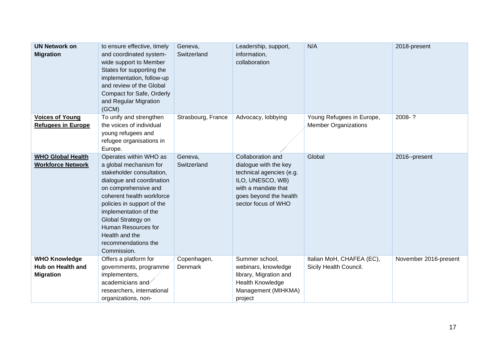| <b>UN Network on</b><br><b>Migration</b>                      | to ensure effective, timely<br>and coordinated system-<br>wide support to Member<br>States for supporting the<br>implementation, follow-up<br>and review of the Global<br>Compact for Safe, Orderly<br>and Regular Migration<br>(GCM)                                                                                       | Geneva,<br>Switzerland | Leadership, support,<br>information,<br>collaboration                                                                                                              | N/A                                                      | 2018-present          |
|---------------------------------------------------------------|-----------------------------------------------------------------------------------------------------------------------------------------------------------------------------------------------------------------------------------------------------------------------------------------------------------------------------|------------------------|--------------------------------------------------------------------------------------------------------------------------------------------------------------------|----------------------------------------------------------|-----------------------|
| <b>Voices of Young</b><br><b>Refugees in Europe</b>           | To unify and strengthen<br>the voices of individual<br>young refugees and<br>refugee organisations in<br>Europe.                                                                                                                                                                                                            | Strasbourg, France     | Advocacy, lobbying                                                                                                                                                 | Young Refugees in Europe,<br><b>Member Organizations</b> | 2008-?                |
| <b>WHO Global Health</b><br><b>Workforce Network</b>          | Operates within WHO as<br>a global mechanism for<br>stakeholder consultation,<br>dialogue and coordination<br>on comprehensive and<br>coherent health workforce<br>policies in support of the<br>implementation of the<br>Global Strategy on<br>Human Resources for<br>Health and the<br>recommendations the<br>Commission. | Geneva,<br>Switzerland | Collaboration and<br>dialogue with the key<br>technical agencies (e.g.<br>ILO, UNESCO, WB)<br>with a mandate that<br>goes beyond the health<br>sector focus of WHO | Global                                                   | 2016--present         |
| <b>WHO Knowledge</b><br>Hub on Health and<br><b>Migration</b> | Offers a platform for<br>governments, programme<br>implementers,<br>academicians and<br>researchers, international<br>organizations, non-                                                                                                                                                                                   | Copenhagen,<br>Denmark | Summer school,<br>webinars, knowledge<br>library, Migration and<br>Health Knowledge<br>Management (MIHKMA)<br>project                                              | Italian MoH, CHAFEA (EC),<br>Sicily Health Council.      | November 2016-present |